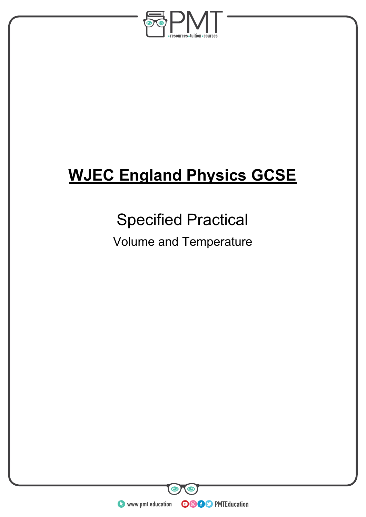

# **WJEC England Physics GCSE**

## Specified Practical

### Volume and Temperature

**WWW.pmt.education** 

**OOOO** PMTEducation